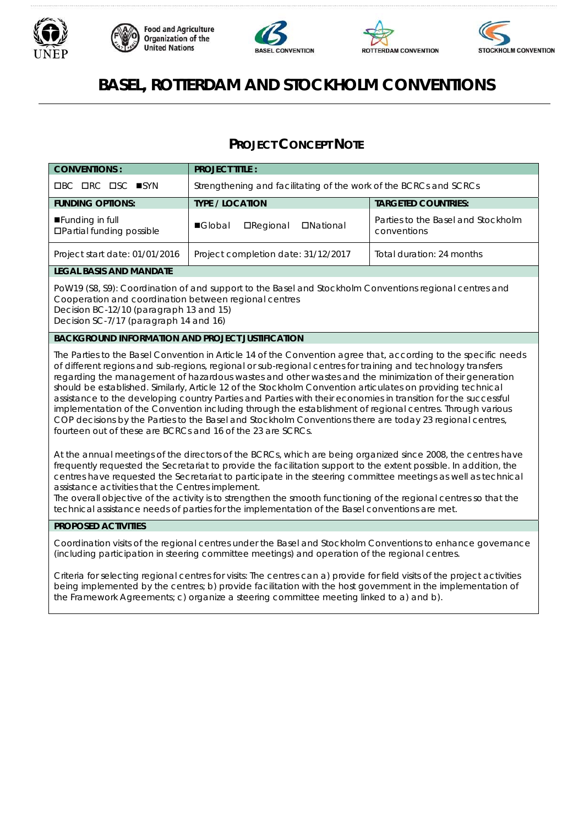









# **BASEL, ROTTERDAM AND STOCKHOLM CONVENTIONS**

# **PROJECT CONCEPT NOTE**

| <b>CONVENTIONS:</b>                                  | <b>PROJECT TITLE:</b>                                             |                                                   |
|------------------------------------------------------|-------------------------------------------------------------------|---------------------------------------------------|
| $\Box BC$ $\Box RC$ $\Box SC$ $\blacksquare$ SYN     | Strengthening and facilitating of the work of the BCRCs and SCRCs |                                                   |
| <b>FUNDING OPTIONS:</b>                              | <b>TYPE / LOCATION</b>                                            | <b>TARGETED COUNTRIES:</b>                        |
| ■Funding in full<br><b>OPartial funding possible</b> | <b>O</b> Regional<br>■Global<br><b>DNational</b>                  | Parties to the Basel and Stockholm<br>conventions |
| Project start date: 01/01/2016                       | Project completion date: 31/12/2017                               | Total duration: 24 months                         |

## **LEGAL BASIS AND MANDATE**

PoW19 (S8, S9): Coordination of and support to the Basel and Stockholm Conventions regional centres and Cooperation and coordination between regional centres

Decision BC-12/10 (paragraph 13 and 15)

Decision SC-7/17 (paragraph 14 and 16)

# **BACKGROUND INFORMATION AND PROJECT JUSTIFICATION**

The Parties to the Basel Convention in Article 14 of the Convention agree that, according to the specific needs of different regions and sub-regions, regional or sub-regional centres for training and technology transfers regarding the management of hazardous wastes and other wastes and the minimization of their generation should be established. Similarly, Article 12 of the Stockholm Convention articulates on providing technical assistance to the developing country Parties and Parties with their economies in transition for the successful implementation of the Convention including through the establishment of regional centres. Through various COP decisions by the Parties to the Basel and Stockholm Conventions there are today 23 regional centres, fourteen out of these are BCRCs and 16 of the 23 are SCRCs.

At the annual meetings of the directors of the BCRCs, which are being organized since 2008, the centres have frequently requested the Secretariat to provide the facilitation support to the extent possible. In addition, the centres have requested the Secretariat to participate in the steering committee meetings as well as technical assistance activities that the Centres implement.

The overall objective of the activity is to strengthen the smooth functioning of the regional centres so that the technical assistance needs of parties for the implementation of the Basel conventions are met.

#### **PROPOSED ACTIVITIES**

Coordination visits of the regional centres under the Basel and Stockholm Conventions to enhance governance (including participation in steering committee meetings) and operation of the regional centres.

Criteria for selecting regional centres for visits: The centres can a) provide for field visits of the project activities being implemented by the centres; b) provide facilitation with the host government in the implementation of the Framework Agreements; c) organize a steering committee meeting linked to a) and b).